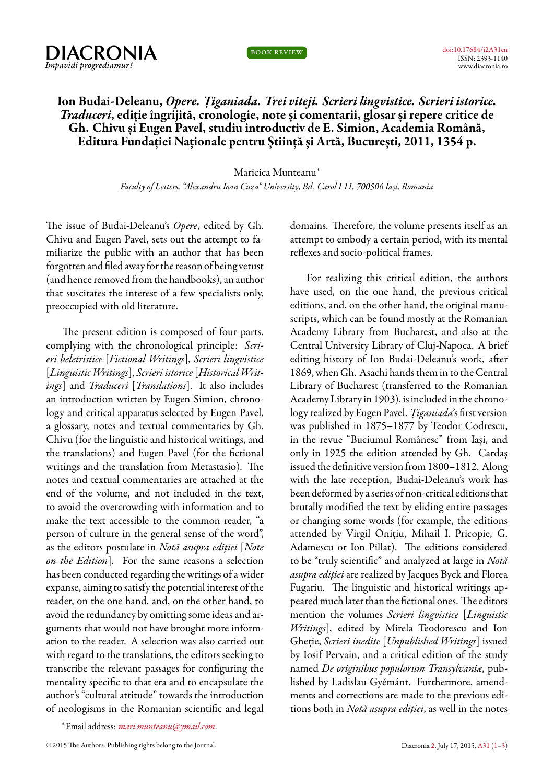



[doi:10.17684/i2A31en](http://dx.doi.org/10.17684/i2A31en) ISSN: 2393-1140 www.diacronia.ro

## **Ion Budai-Deleanu,** *Opere. Țiganiada. Trei viteji. Scrieri lingvistice. Scrieri istorice. Traduceri***, ediție îngrijită, cronologie, note și comentarii, glosar și repere critice de Gh. Chivu și Eugen Pavel, studiu introductiv de E. Simion, Academia Română, Editura Fundației Naționale pentru Știință și Artă, București, 2011, 1354 p.**

Maricica Munteanu*<sup>∗</sup>*

*Faculty of Letters, "Alexandru Ioan Cuza" University, Bd. Carol I 11, 700506 Iași, Romania*

<span id="page-0-0"></span>The issue of Budai-Deleanu's *Opere*, edited by Gh. Chivu and Eugen Pavel, sets out the attempt to familiarize the public with an author that has been forgotten and filed awayfor the reason of being vetust (and hence removed from the handbooks), an author that suscitates the interest of a few specialists only, preoccupied with old literature.

The present edition is composed of four parts, complying with the chronological principle: *Scrieri beletristice* [*Fictional Writings*], *Scrieri lingvistice* [*Linguistic Writings*], *Scrieri istorice* [*Historical Writings*] and *Traduceri* [*Translations*]. It also includes an introduction written by Eugen Simion, chronology and critical apparatus selected by Eugen Pavel, a glossary, notes and textual commentaries by Gh. Chivu (for the linguistic and historical writings, and the translations) and Eugen Pavel (for the fictional writings and the translation from Metastasio). The notes and textual commentaries are attached at the end of the volume, and not included in the text, to avoid the overcrowding with information and to make the text accessible to the common reader, "a person of culture in the general sense of the word", as the editors postulate in *Notă asupra ediției* [*Note on the Edition*]. For the same reasons a selection has been conducted regarding the writings of a wider expanse, aiming to satisfy the potential interest of the reader, on the one hand, and, on the other hand, to avoid the redundancy by omitting some ideas and arguments that would not have brought more information to the reader. A selection was also carried out with regard to the translations, the editors seeking to transcribe the relevant passages for configuring the mentality specific to that era and to encapsulate the author's "cultural attitude" towards the introduction of neologisms in the Romanian scientific and legal domains. Therefore, the volume presents itself as an attempt to embody a certain period, with its mental reflexes and socio-political frames.

For realizing this critical edition, the authors have used, on the one hand, the previous critical editions, and, on the other hand, the original manuscripts, which can be found mostly at the Romanian Academy Library from Bucharest, and also at the Central University Library of Cluj-Napoca. A brief editing history of Ion Budai-Deleanu's work, after 1869, when Gh. Asachi hands them in to the Central Library of Bucharest (transferred to the Romanian Academy Library in 1903), is included in the chronology realized by Eugen Pavel. *Țiganiada*'s first version was published in 1875–1877 by Teodor Codrescu, in the revue "Buciumul Românesc" from Iași, and only in 1925 the edition attended by Gh. Cardaș issued the definitive version from 1800–1812. Along with the late reception, Budai-Deleanu's work has been deformed by a series of non-critical editions that brutally modified the text by eliding entire passages or changing some words (for example, the editions attended by Virgil Onițiu, Mihail I. Pricopie, G. Adamescu or Ion Pillat). The editions considered to be "truly scientific" and analyzed at large in *Notă asupra ediției*are realized by Jacques Byck and Florea Fugariu. The linguistic and historical writings appeared much later than the fictional ones. The editors mention the volumes *Scrieri lingvistice* [*Linguistic Writings*], edited by Mirela Teodorescu and Ion Gheție, *Scrieri inedite* [*Unpublished Writings*] issued by Iosif Pervain, and a critical edition of the study named *De originibus populorum Transylvaniæ*, published by Ladislau Gyémánt. Furthermore, amendments and corrections are made to the previous editions both in *Notă asupra ediției*, as well in the notes

*<sup>∗</sup>*Email address: *[mari.munteanu@ymail.com](mailto:mari.munteanu@ymail.com)*.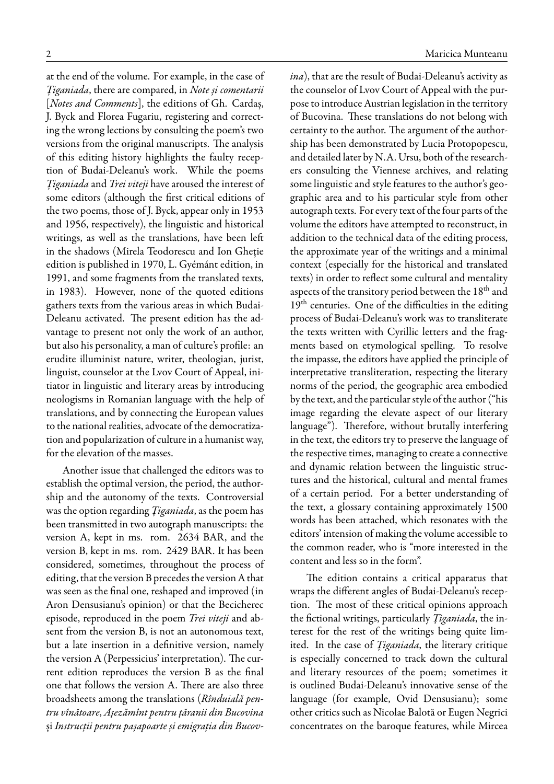at the end of the volume. For example, in the case of *Țiganiada*, there are compared, in *Note și comentarii* [*Notes and Comments*], the editions of Gh. Cardaș, J. Byck and Florea Fugariu, registering and correcting the wrong lections by consulting the poem's two versions from the original manuscripts. The analysis of this editing history highlights the faulty reception of Budai-Deleanu's work. While the poems *Țiganiada* and *Trei viteji* have aroused the interest of some editors (although the first critical editions of the two poems, those of J. Byck, appear only in 1953 and 1956, respectively), the linguistic and historical writings, as well as the translations, have been left in the shadows (Mirela Teodorescu and Ion Gheție edition is published in 1970, L. Gyémánt edition, in 1991, and some fragments from the translated texts, in 1983). However, none of the quoted editions gathers texts from the various areas in which Budai-Deleanu activated. The present edition has the advantage to present not only the work of an author, but also his personality, a man of culture's profile: an erudite illuminist nature, writer, theologian, jurist, linguist, counselor at the Lvov Court of Appeal, initiator in linguistic and literary areas by introducing neologisms in Romanian language with the help of translations, and by connecting the European values to the national realities, advocate of the democratization and popularization of culture in a humanist way, for the elevation of the masses.

Another issue that challenged the editors was to establish the optimal version, the period, the authorship and the autonomy of the texts. Controversial was the option regarding *Țiganiada*, as the poem has been transmitted in two autograph manuscripts: the version A, kept in ms. rom. 2634 BAR, and the version B, kept in ms. rom. 2429 BAR. It has been considered, sometimes, throughout the process of editing, that the version B precedes the version A that was seen as the final one, reshaped and improved (in Aron Densusianu's opinion) or that the Becicherec episode, reproduced in the poem *Trei viteji* and absent from the version B, is not an autonomous text, but a late insertion in a definitive version, namely the version A (Perpessicius' interpretation). The current edition reproduces the version B as the final one that follows the version A. There are also three broadsheets among the translations (*Rînduială pentru vînătoare*, *Așezămînt pentru țăranii din Bucovina* și *Instrucții pentru pașapoarte și emigrația din Bucov-* *ina*), that are the result of Budai-Deleanu's activity as the counselor of Lvov Court of Appeal with the purpose to introduce Austrian legislation in the territory of Bucovina. These translations do not belong with certainty to the author. The argument of the authorship has been demonstrated by Lucia Protopopescu, and detailed later by N.A. Ursu, both of the researchers consulting the Viennese archives, and relating some linguistic and style features to the author's geographic area and to his particular style from other autograph texts. For every text of the four parts of the volume the editors have attempted to reconstruct, in addition to the technical data of the editing process, the approximate year of the writings and a minimal context (especially for the historical and translated texts) in order to reflect some cultural and mentality aspects of the transitory period between the 18<sup>th</sup> and 19<sup>th</sup> centuries. One of the difficulties in the editing process of Budai-Deleanu's work was to transliterate the texts written with Cyrillic letters and the fragments based on etymological spelling. To resolve the impasse, the editors have applied the principle of interpretative transliteration, respecting the literary norms of the period, the geographic area embodied by the text, and the particular style of the author ("his image regarding the elevate aspect of our literary language"). Therefore, without brutally interfering in the text, the editors try to preserve the language of the respective times, managing to create a connective and dynamic relation between the linguistic structures and the historical, cultural and mental frames of a certain period. For a better understanding of the text, a glossary containing approximately 1500 words has been attached, which resonates with the editors' intension of making the volume accessible to the common reader, who is "more interested in the content and less so in the form".

The edition contains a critical apparatus that wraps the different angles of Budai-Deleanu's reception. The most of these critical opinions approach the fictional writings, particularly *Țiganiada*, the interest for the rest of the writings being quite limited. In the case of *Țiganiada*, the literary critique is especially concerned to track down the cultural and literary resources of the poem; sometimes it is outlined Budai-Deleanu's innovative sense of the language (for example, Ovid Densusianu); some other critics such as Nicolae Balotă or Eugen Negrici concentrates on the baroque features, while Mircea